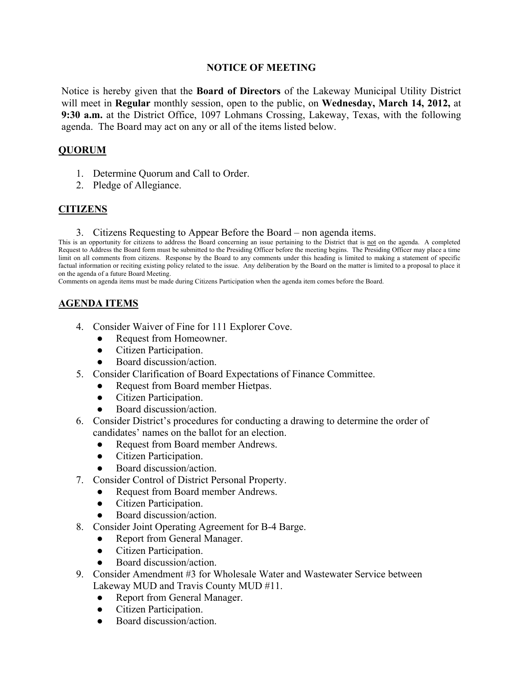### **NOTICE OF MEETING**

Notice is hereby given that the **Board of Directors** of the Lakeway Municipal Utility District will meet in **Regular** monthly session, open to the public, on **Wednesday, March 14, 2012,** at **9:30 a.m.** at the District Office, 1097 Lohmans Crossing, Lakeway, Texas, with the following agenda. The Board may act on any or all of the items listed below.

## **QUORUM**

- 1. Determine Quorum and Call to Order.
- 2. Pledge of Allegiance.

# **CITIZENS**

3. Citizens Requesting to Appear Before the Board – non agenda items.

This is an opportunity for citizens to address the Board concerning an issue pertaining to the District that is not on the agenda. A completed Request to Address the Board form must be submitted to the Presiding Officer before the meeting begins. The Presiding Officer may place a time limit on all comments from citizens. Response by the Board to any comments under this heading is limited to making a statement of specific factual information or reciting existing policy related to the issue. Any deliberation by the Board on the matter is limited to a proposal to place it on the agenda of a future Board Meeting.

Comments on agenda items must be made during Citizens Participation when the agenda item comes before the Board.

# **AGENDA ITEMS**

- 4. Consider Waiver of Fine for 111 Explorer Cove.
	- Request from Homeowner.
	- Citizen Participation.
	- Board discussion/action.
- 5. Consider Clarification of Board Expectations of Finance Committee.
	- Request from Board member Hietpas.
	- Citizen Participation.
	- Board discussion/action.
- 6. Consider District's procedures for conducting a drawing to determine the order of candidates' names on the ballot for an election.
	- Request from Board member Andrews.
	- Citizen Participation.
	- Board discussion/action.
- 7. Consider Control of District Personal Property.
	- Request from Board member Andrews.
		- Citizen Participation.
	- Board discussion/action.
- 8. Consider Joint Operating Agreement for B-4 Barge.
	- Report from General Manager.
	- Citizen Participation.
	- Board discussion/action.
- 9. Consider Amendment #3 for Wholesale Water and Wastewater Service between Lakeway MUD and Travis County MUD #11.
	- Report from General Manager.
	- Citizen Participation.
	- Board discussion/action.